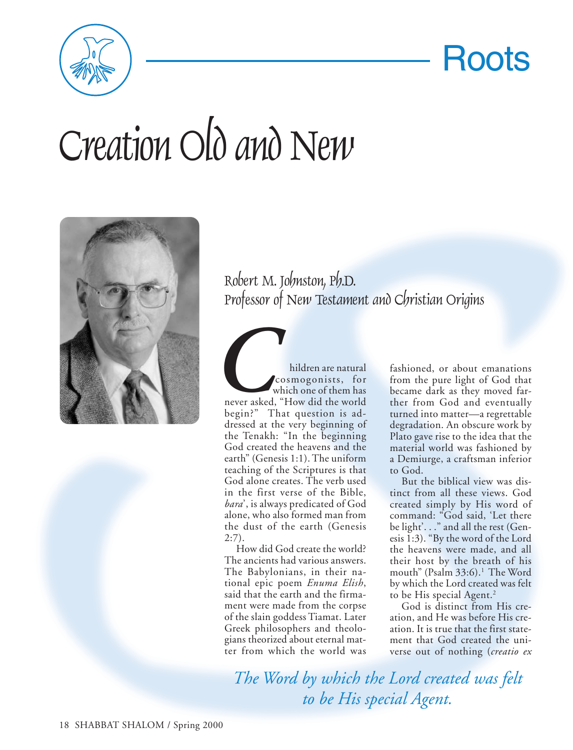

Roots

## Creation Old and New



Robert M. Johnston, Ph.D. Professor of New Testament and Christian Origins

**COMPONER EXECUTE:**<br> **COMPONER EXECUTE:**<br> **COMPONER EXECUTE:**<br>
That question is adcosmogonists, for which one of them has never asked, "How did the world begin?" That question is addressed at the very beginning of the Tenakh: "In the beginning God created the heavens and the earth" (Genesis 1:1). The uniform teaching of the Scriptures is that God alone creates. The verb used in the first verse of the Bible, *bara*', is always predicated of God alone, who also formed man from the dust of the earth (Genesis 2:7).

How did God create the world? The ancients had various answers. The Babylonians, in their national epic poem *Enuma Elish*, said that the earth and the firmament were made from the corpse of the slain goddess Tiamat. Later Greek philosophers and theologians theorized about eternal matter from which the world was

fashioned, or about emanations from the pure light of God that became dark as they moved farther from God and eventually turned into matter—a regrettable degradation. An obscure work by Plato gave rise to the idea that the material world was fashioned by a Demiurge, a craftsman inferior to God.

But the biblical view was distinct from all these views. God created simply by His word of command: "God said, 'Let there be light'. . ." and all the rest (Genesis 1:3). "By the word of the Lord the heavens were made, and all their host by the breath of his mouth" (Psalm 33:6).<sup>1</sup> The Word by which the Lord created was felt to be His special Agent.<sup>2</sup>

God is distinct from His creation, and He was before His creation. It is true that the first statement that God created the universe out of nothing (*creatio ex*

*The Word by which the Lord created was felt to be His special Agent.*